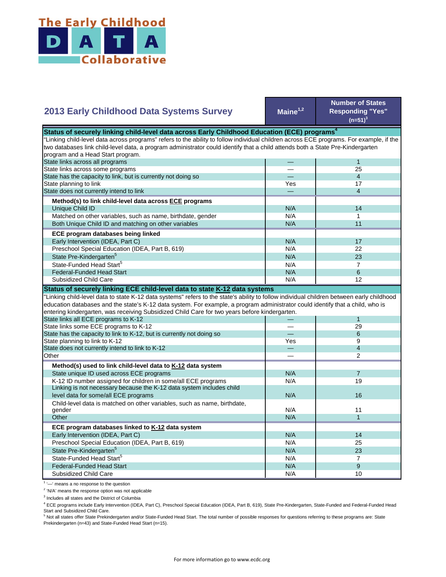

| 2013 Early Childhood Data Systems Survey                                                                                                                                                                                                                                                                                                                  | $Maine^{1,2}$ | <b>Number of States</b><br><b>Responding "Yes"</b><br>$(n=51)^3$ |  |  |  |
|-----------------------------------------------------------------------------------------------------------------------------------------------------------------------------------------------------------------------------------------------------------------------------------------------------------------------------------------------------------|---------------|------------------------------------------------------------------|--|--|--|
| Status of securely linking child-level data across Early Childhood Education (ECE) programs <sup>4</sup>                                                                                                                                                                                                                                                  |               |                                                                  |  |  |  |
| "Linking child-level data across programs" refers to the ability to follow individual children across ECE programs. For example, if the                                                                                                                                                                                                                   |               |                                                                  |  |  |  |
| two databases link child-level data, a program administrator could identify that a child attends both a State Pre-Kindergarten                                                                                                                                                                                                                            |               |                                                                  |  |  |  |
| program and a Head Start program.                                                                                                                                                                                                                                                                                                                         |               |                                                                  |  |  |  |
| State links across all programs                                                                                                                                                                                                                                                                                                                           |               | $\mathbf{1}$                                                     |  |  |  |
| State links across some programs                                                                                                                                                                                                                                                                                                                          |               | 25                                                               |  |  |  |
| State has the capacity to link, but is currently not doing so                                                                                                                                                                                                                                                                                             |               | $\overline{4}$                                                   |  |  |  |
| State planning to link                                                                                                                                                                                                                                                                                                                                    | Yes           | 17                                                               |  |  |  |
| State does not currently intend to link                                                                                                                                                                                                                                                                                                                   |               | 4                                                                |  |  |  |
| Method(s) to link child-level data across ECE programs                                                                                                                                                                                                                                                                                                    |               |                                                                  |  |  |  |
| Unique Child ID                                                                                                                                                                                                                                                                                                                                           | N/A           | 14                                                               |  |  |  |
| Matched on other variables, such as name, birthdate, gender                                                                                                                                                                                                                                                                                               | N/A           | 1                                                                |  |  |  |
| Both Unique Child ID and matching on other variables                                                                                                                                                                                                                                                                                                      | N/A           | 11                                                               |  |  |  |
|                                                                                                                                                                                                                                                                                                                                                           |               |                                                                  |  |  |  |
| ECE program databases being linked                                                                                                                                                                                                                                                                                                                        |               |                                                                  |  |  |  |
| Early Intervention (IDEA, Part C)                                                                                                                                                                                                                                                                                                                         | N/A           | 17                                                               |  |  |  |
| Preschool Special Education (IDEA, Part B, 619)                                                                                                                                                                                                                                                                                                           | N/A           | 22                                                               |  |  |  |
| State Pre-Kindergarten <sup>5</sup>                                                                                                                                                                                                                                                                                                                       | N/A           | 23                                                               |  |  |  |
| State-Funded Head Start <sup>5</sup>                                                                                                                                                                                                                                                                                                                      | N/A           | $\overline{7}$                                                   |  |  |  |
| <b>Federal-Funded Head Start</b>                                                                                                                                                                                                                                                                                                                          | N/A           | 6                                                                |  |  |  |
| Subsidized Child Care                                                                                                                                                                                                                                                                                                                                     | N/A           | 12                                                               |  |  |  |
| Status of securely linking ECE child-level data to state K-12 data systems<br>"Linking child-level data to state K-12 data systems" refers to the state's ability to follow individual children between early childhood<br>education databases and the state's K-12 data system. For example, a program administrator could identify that a child, who is |               |                                                                  |  |  |  |
|                                                                                                                                                                                                                                                                                                                                                           |               |                                                                  |  |  |  |
| entering kindergarten, was receiving Subsidized Child Care for two years before kindergarten.                                                                                                                                                                                                                                                             |               |                                                                  |  |  |  |
| State links all ECE programs to K-12                                                                                                                                                                                                                                                                                                                      |               | 1                                                                |  |  |  |
| State links some ECE programs to K-12                                                                                                                                                                                                                                                                                                                     |               | 29                                                               |  |  |  |
| State has the capacity to link to K-12, but is currently not doing so                                                                                                                                                                                                                                                                                     |               | $6\phantom{1}$                                                   |  |  |  |
| State planning to link to K-12                                                                                                                                                                                                                                                                                                                            | Yes           | 9                                                                |  |  |  |
| State does not currently intend to link to K-12                                                                                                                                                                                                                                                                                                           |               | $\overline{4}$                                                   |  |  |  |
| Other                                                                                                                                                                                                                                                                                                                                                     |               | $\overline{2}$                                                   |  |  |  |
| Method(s) used to link child-level data to K-12 data system                                                                                                                                                                                                                                                                                               |               |                                                                  |  |  |  |
| State unique ID used across ECE programs                                                                                                                                                                                                                                                                                                                  | N/A           | $\overline{7}$                                                   |  |  |  |
| K-12 ID number assigned for children in some/all ECE programs                                                                                                                                                                                                                                                                                             | N/A           | 19                                                               |  |  |  |
| Linking is not necessary because the K-12 data system includes child                                                                                                                                                                                                                                                                                      |               |                                                                  |  |  |  |
| level data for some/all ECE programs                                                                                                                                                                                                                                                                                                                      | N/A           | 16                                                               |  |  |  |
| Child-level data is matched on other variables, such as name, birthdate,                                                                                                                                                                                                                                                                                  |               |                                                                  |  |  |  |
| gender                                                                                                                                                                                                                                                                                                                                                    | N/A           | 11                                                               |  |  |  |
| Other                                                                                                                                                                                                                                                                                                                                                     | N/A           | $\mathbf{1}$                                                     |  |  |  |
| ECE program databases linked to K-12 data system                                                                                                                                                                                                                                                                                                          |               |                                                                  |  |  |  |
| Early Intervention (IDEA, Part C)                                                                                                                                                                                                                                                                                                                         | N/A           | 14                                                               |  |  |  |
| Preschool Special Education (IDEA, Part B, 619)                                                                                                                                                                                                                                                                                                           | N/A           | 25                                                               |  |  |  |
| State Pre-Kindergarten <sup>5</sup>                                                                                                                                                                                                                                                                                                                       | N/A           | 23                                                               |  |  |  |
| State-Funded Head Start <sup>5</sup>                                                                                                                                                                                                                                                                                                                      | N/A           | $\overline{7}$                                                   |  |  |  |
| <b>Federal-Funded Head Start</b>                                                                                                                                                                                                                                                                                                                          | N/A           | 9                                                                |  |  |  |

<sup>1</sup> '-' means a no response to the question

<sup>2</sup> 'N/A' means the response option was not applicable

<sup>3</sup> Includes all states and the District of Columbia

<sup>4</sup> ECE programs include Early Intervention (IDEA, Part C), Preschool Special Education (IDEA, Part B, 619), State Pre-Kindergarten, State-Funded and Federal-Funded Head

Start and Subsidized Child Care.<br><sup>5</sup> Not all states offer State Prekindergarten and/or State-Funded Head Start. The total number of possible responses for questions referring to these programs are: State Prekindergarten (n=43) and State-Funded Head Start (n=15).